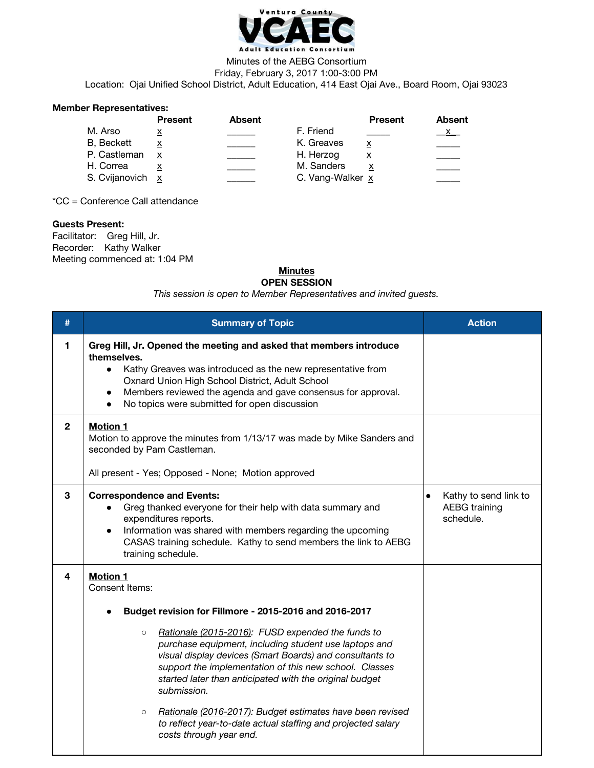

### Minutes of the AEBG Consortium Friday, February 3, 2017 1:00-3:00 PM

Location: Ojai Unified School District, Adult Education, 414 East Ojai Ave., Board Room, Ojai 93023

### **Member Representatives:**

| <b>Present</b>   | Absent |            | <b>Present</b>          | <b>Absent</b>    |
|------------------|--------|------------|-------------------------|------------------|
| х                |        | F. Friend  |                         | X                |
| х                |        | K. Greaves | $\overline{\mathbf{x}}$ |                  |
| x                |        | H. Herzog  | $\overline{\mathbf{x}}$ |                  |
|                  |        | M. Sanders |                         |                  |
| S. Cvijanovich x |        |            |                         |                  |
|                  |        |            |                         | C. Vang-Walker x |

\*CC = Conference Call attendance

# **Guests Present:**

Facilitator: Greg Hill, Jr. Recorder: Kathy Walker Meeting commenced at: 1:04 PM

### **Minutes OPEN SESSION**

*This session is open to Member Representatives and invited guests.*

| #            | <b>Summary of Topic</b>                                                                                                                                                                                                                                                                                                                                                                                                                                                                                                                                                                 | <b>Action</b>                                                           |
|--------------|-----------------------------------------------------------------------------------------------------------------------------------------------------------------------------------------------------------------------------------------------------------------------------------------------------------------------------------------------------------------------------------------------------------------------------------------------------------------------------------------------------------------------------------------------------------------------------------------|-------------------------------------------------------------------------|
| 1            | Greg Hill, Jr. Opened the meeting and asked that members introduce<br>themselves.<br>Kathy Greaves was introduced as the new representative from<br>$\bullet$<br>Oxnard Union High School District, Adult School<br>Members reviewed the agenda and gave consensus for approval.<br>No topics were submitted for open discussion                                                                                                                                                                                                                                                        |                                                                         |
| $\mathbf{2}$ | <b>Motion 1</b><br>Motion to approve the minutes from 1/13/17 was made by Mike Sanders and<br>seconded by Pam Castleman.<br>All present - Yes; Opposed - None; Motion approved                                                                                                                                                                                                                                                                                                                                                                                                          |                                                                         |
| 3            | <b>Correspondence and Events:</b><br>Greg thanked everyone for their help with data summary and<br>expenditures reports.<br>Information was shared with members regarding the upcoming<br>$\bullet$<br>CASAS training schedule. Kathy to send members the link to AEBG<br>training schedule.                                                                                                                                                                                                                                                                                            | Kathy to send link to<br>$\bullet$<br><b>AEBG</b> training<br>schedule. |
| 4            | <b>Motion 1</b><br>Consent Items:<br>Budget revision for Fillmore - 2015-2016 and 2016-2017<br>Rationale (2015-2016): FUSD expended the funds to<br>$\circ$<br>purchase equipment, including student use laptops and<br>visual display devices (Smart Boards) and consultants to<br>support the implementation of this new school. Classes<br>started later than anticipated with the original budget<br>submission.<br>Rationale (2016-2017): Budget estimates have been revised<br>$\circ$<br>to reflect year-to-date actual staffing and projected salary<br>costs through year end. |                                                                         |